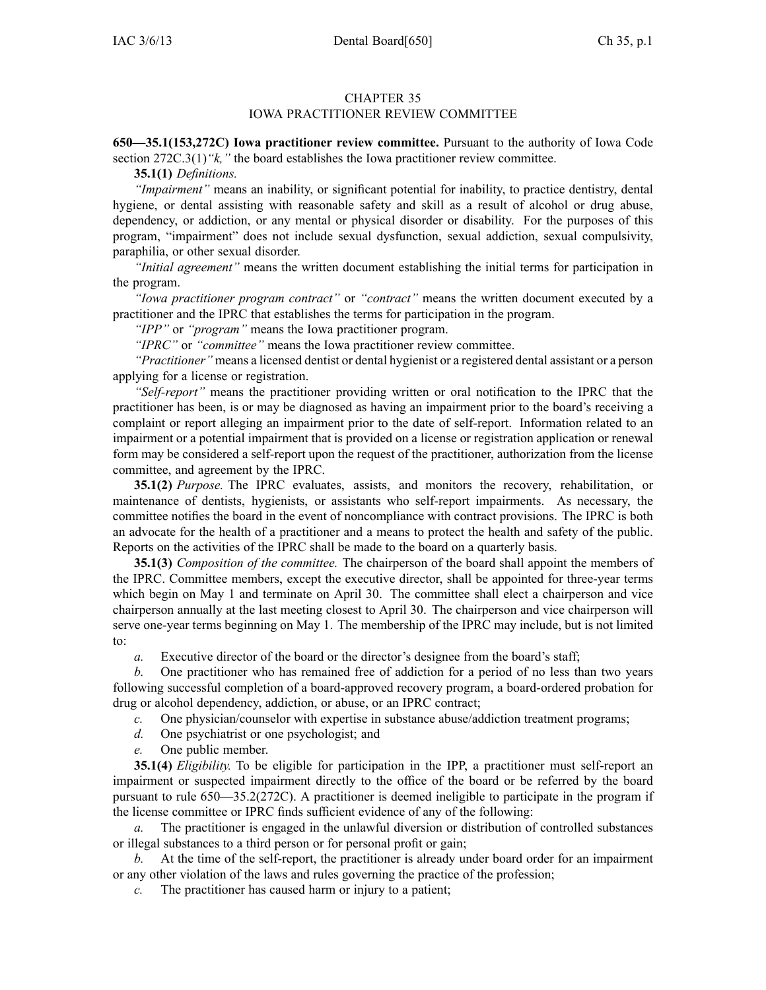## CHAPTER 35

## IOWA PRACTITIONER REVIEW COMMITTEE

**650—35.1(153,272C) Iowa practitioner review committee.** Pursuant to the authority of Iowa Code section 272C.3(1) "*k*," the board establishes the Iowa practitioner review committee.

**35.1(1)** *Definitions.*

*"Impairment"* means an inability, or significant potential for inability, to practice dentistry, dental hygiene, or dental assisting with reasonable safety and skill as <sup>a</sup> result of alcohol or drug abuse, dependency, or addiction, or any mental or physical disorder or disability. For the purposes of this program, "impairment" does not include sexual dysfunction, sexual addiction, sexual compulsivity, paraphilia, or other sexual disorder.

*"Initial agreement"* means the written document establishing the initial terms for participation in the program.

*"Iowa practitioner program contract"* or *"contract"* means the written document executed by <sup>a</sup> practitioner and the IPRC that establishes the terms for participation in the program.

*"IPP"* or *"program"* means the Iowa practitioner program.

*"IPRC"* or *"committee"* means the Iowa practitioner review committee.

*"Practitioner"* means <sup>a</sup> licensed dentist or dental hygienist or <sup>a</sup> registered dental assistant or <sup>a</sup> person applying for <sup>a</sup> license or registration.

*"Self-report"* means the practitioner providing written or oral notification to the IPRC that the practitioner has been, is or may be diagnosed as having an impairment prior to the board's receiving <sup>a</sup> complaint or repor<sup>t</sup> alleging an impairment prior to the date of self-report. Information related to an impairment or <sup>a</sup> potential impairment that is provided on <sup>a</sup> license or registration application or renewal form may be considered <sup>a</sup> self-report upon the reques<sup>t</sup> of the practitioner, authorization from the license committee, and agreemen<sup>t</sup> by the IPRC.

**35.1(2)** *Purpose.* The IPRC evaluates, assists, and monitors the recovery, rehabilitation, or maintenance of dentists, hygienists, or assistants who self-report impairments. As necessary, the committee notifies the board in the event of noncompliance with contract provisions. The IPRC is both an advocate for the health of <sup>a</sup> practitioner and <sup>a</sup> means to protect the health and safety of the public. Reports on the activities of the IPRC shall be made to the board on <sup>a</sup> quarterly basis.

**35.1(3)** *Composition of the committee.* The chairperson of the board shall appoint the members of the IPRC. Committee members, excep<sup>t</sup> the executive director, shall be appointed for three-year terms which begin on May 1 and terminate on April 30. The committee shall elect <sup>a</sup> chairperson and vice chairperson annually at the last meeting closest to April 30. The chairperson and vice chairperson will serve one-year terms beginning on May 1. The membership of the IPRC may include, but is not limited to:

*a.* Executive director of the board or the director's designee from the board's staff;

*b.* One practitioner who has remained free of addiction for <sup>a</sup> period of no less than two years following successful completion of <sup>a</sup> board-approved recovery program, <sup>a</sup> board-ordered probation for drug or alcohol dependency, addiction, or abuse, or an IPRC contract;

*c.* One physician/counselor with expertise in substance abuse/addiction treatment programs;

*d.* One psychiatrist or one psychologist; and

*e.* One public member.

**35.1(4)** *Eligibility.* To be eligible for participation in the IPP, <sup>a</sup> practitioner must self-report an impairment or suspected impairment directly to the office of the board or be referred by the board pursuan<sup>t</sup> to rule 650—35.2(272C). A practitioner is deemed ineligible to participate in the program if the license committee or IPRC finds sufficient evidence of any of the following:

*a.* The practitioner is engaged in the unlawful diversion or distribution of controlled substances or illegal substances to <sup>a</sup> third person or for personal profit or gain;

*b.* At the time of the self-report, the practitioner is already under board order for an impairment or any other violation of the laws and rules governing the practice of the profession;

*c.* The practitioner has caused harm or injury to <sup>a</sup> patient;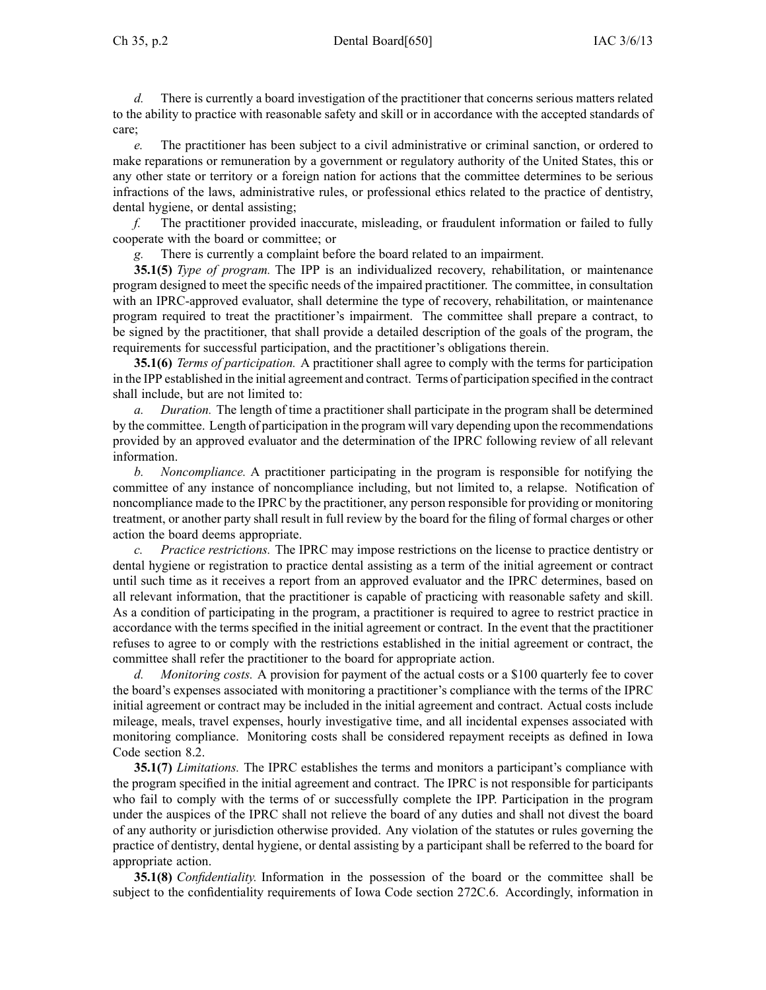Ch 35, p.2 Dental Board[650] IAC 3/6/13

*d.* There is currently <sup>a</sup> board investigation of the practitioner that concerns serious matters related to the ability to practice with reasonable safety and skill or in accordance with the accepted standards of care;

*e.* The practitioner has been subject to <sup>a</sup> civil administrative or criminal sanction, or ordered to make reparations or remuneration by <sup>a</sup> governmen<sup>t</sup> or regulatory authority of the United States, this or any other state or territory or <sup>a</sup> foreign nation for actions that the committee determines to be serious infractions of the laws, administrative rules, or professional ethics related to the practice of dentistry, dental hygiene, or dental assisting;

*f.* The practitioner provided inaccurate, misleading, or fraudulent information or failed to fully cooperate with the board or committee; or

*g.* There is currently <sup>a</sup> complaint before the board related to an impairment.

**35.1(5)** *Type of program.* The IPP is an individualized recovery, rehabilitation, or maintenance program designed to meet the specific needs of the impaired practitioner. The committee, in consultation with an IPRC-approved evaluator, shall determine the type of recovery, rehabilitation, or maintenance program required to treat the practitioner's impairment. The committee shall prepare <sup>a</sup> contract, to be signed by the practitioner, that shall provide <sup>a</sup> detailed description of the goals of the program, the requirements for successful participation, and the practitioner's obligations therein.

**35.1(6)** *Terms of participation.* A practitioner shall agree to comply with the terms for participation in the IPP established in the initial agreemen<sup>t</sup> and contract. Terms of participation specified in the contract shall include, but are not limited to:

*a. Duration.* The length of time <sup>a</sup> practitioner shall participate in the program shall be determined by the committee. Length of participation in the program will vary depending upon the recommendations provided by an approved evaluator and the determination of the IPRC following review of all relevant information.

*b. Noncompliance.* A practitioner participating in the program is responsible for notifying the committee of any instance of noncompliance including, but not limited to, <sup>a</sup> relapse. Notification of noncompliance made to the IPRC by the practitioner, any person responsible for providing or monitoring treatment, or another party shall result in full review by the board for the filing of formal charges or other action the board deems appropriate.

*c. Practice restrictions.* The IPRC may impose restrictions on the license to practice dentistry or dental hygiene or registration to practice dental assisting as <sup>a</sup> term of the initial agreemen<sup>t</sup> or contract until such time as it receives <sup>a</sup> repor<sup>t</sup> from an approved evaluator and the IPRC determines, based on all relevant information, that the practitioner is capable of practicing with reasonable safety and skill. As <sup>a</sup> condition of participating in the program, <sup>a</sup> practitioner is required to agree to restrict practice in accordance with the terms specified in the initial agreemen<sup>t</sup> or contract. In the event that the practitioner refuses to agree to or comply with the restrictions established in the initial agreemen<sup>t</sup> or contract, the committee shall refer the practitioner to the board for appropriate action.

*d. Monitoring costs.* A provision for paymen<sup>t</sup> of the actual costs or <sup>a</sup> \$100 quarterly fee to cover the board's expenses associated with monitoring <sup>a</sup> practitioner's compliance with the terms of the IPRC initial agreemen<sup>t</sup> or contract may be included in the initial agreemen<sup>t</sup> and contract. Actual costs include mileage, meals, travel expenses, hourly investigative time, and all incidental expenses associated with monitoring compliance. Monitoring costs shall be considered repaymen<sup>t</sup> receipts as defined in Iowa Code section 8.2.

**35.1(7)** *Limitations.* The IPRC establishes the terms and monitors <sup>a</sup> participant's compliance with the program specified in the initial agreemen<sup>t</sup> and contract. The IPRC is not responsible for participants who fail to comply with the terms of or successfully complete the IPP. Participation in the program under the auspices of the IPRC shall not relieve the board of any duties and shall not divest the board of any authority or jurisdiction otherwise provided. Any violation of the statutes or rules governing the practice of dentistry, dental hygiene, or dental assisting by <sup>a</sup> participant shall be referred to the board for appropriate action.

**35.1(8)** *Confidentiality.* Information in the possession of the board or the committee shall be subject to the confidentiality requirements of Iowa Code section 272C.6. Accordingly, information in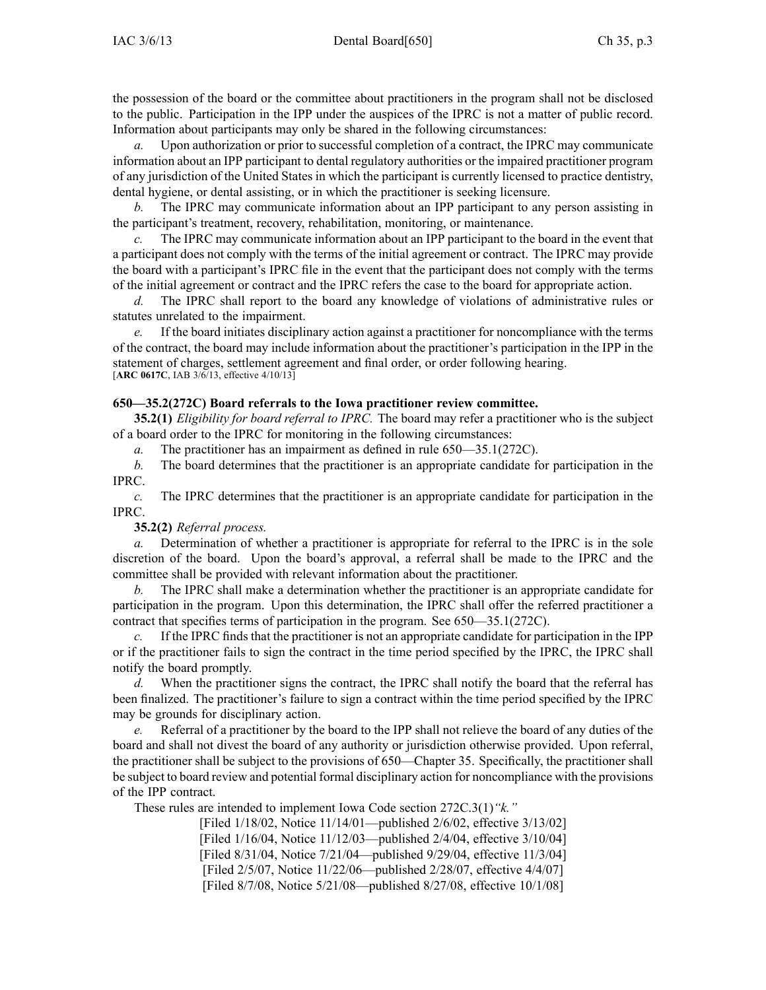the possession of the board or the committee about practitioners in the program shall not be disclosed to the public. Participation in the IPP under the auspices of the IPRC is not <sup>a</sup> matter of public record. Information about participants may only be shared in the following circumstances:

*a.* Upon authorization or prior to successful completion of <sup>a</sup> contract, the IPRC may communicate information about an IPP participant to dental regulatory authorities or the impaired practitioner program of any jurisdiction of the United States in which the participant is currently licensed to practice dentistry, dental hygiene, or dental assisting, or in which the practitioner is seeking licensure.

*b.* The IPRC may communicate information about an IPP participant to any person assisting in the participant's treatment, recovery, rehabilitation, monitoring, or maintenance.

*c.* The IPRC may communicate information about an IPP participant to the board in the event that <sup>a</sup> participant does not comply with the terms of the initial agreemen<sup>t</sup> or contract. The IPRC may provide the board with <sup>a</sup> participant's IPRC file in the event that the participant does not comply with the terms of the initial agreemen<sup>t</sup> or contract and the IPRC refers the case to the board for appropriate action.

*d.* The IPRC shall repor<sup>t</sup> to the board any knowledge of violations of administrative rules or statutes unrelated to the impairment.

*e.* If the board initiates disciplinary action against <sup>a</sup> practitioner for noncompliance with the terms of the contract, the board may include information about the practitioner's participation in the IPP in the statement of charges, settlement agreemen<sup>t</sup> and final order, or order following hearing. [**ARC 0617C**, IAB 3/6/13, effective 4/10/13]

## **650—35.2(272C) Board referrals to the Iowa practitioner review committee.**

**35.2(1)** *Eligibility for board referral to IPRC.* The board may refer <sup>a</sup> practitioner who is the subject of <sup>a</sup> board order to the IPRC for monitoring in the following circumstances:

*a.* The practitioner has an impairment as defined in rule 650—35.1(272C).

*b.* The board determines that the practitioner is an appropriate candidate for participation in the IPRC.

*c.* The IPRC determines that the practitioner is an appropriate candidate for participation in the IPRC.

## **35.2(2)** *Referral process.*

*a.* Determination of whether <sup>a</sup> practitioner is appropriate for referral to the IPRC is in the sole discretion of the board. Upon the board's approval, <sup>a</sup> referral shall be made to the IPRC and the committee shall be provided with relevant information about the practitioner.

*b.* The IPRC shall make <sup>a</sup> determination whether the practitioner is an appropriate candidate for participation in the program. Upon this determination, the IPRC shall offer the referred practitioner <sup>a</sup> contract that specifies terms of participation in the program. See 650—35.1(272C).

*c.* If the IPRC finds that the practitioner is not an appropriate candidate for participation in the IPP or if the practitioner fails to sign the contract in the time period specified by the IPRC, the IPRC shall notify the board promptly.

When the practitioner signs the contract, the IPRC shall notify the board that the referral has been finalized. The practitioner's failure to sign <sup>a</sup> contract within the time period specified by the IPRC may be grounds for disciplinary action.

*e.* Referral of <sup>a</sup> practitioner by the board to the IPP shall not relieve the board of any duties of the board and shall not divest the board of any authority or jurisdiction otherwise provided. Upon referral, the practitioner shall be subject to the provisions of 650—Chapter 35. Specifically, the practitioner shall be subject to board review and potential formal disciplinary action for noncompliance with the provisions of the IPP contract.

These rules are intended to implement Iowa Code section 272C.3(1)*"k."*

[Filed 1/18/02, Notice 11/14/01—published 2/6/02, effective 3/13/02] [Filed 1/16/04, Notice 11/12/03—published 2/4/04, effective 3/10/04] [Filed 8/31/04, Notice 7/21/04—published 9/29/04, effective 11/3/04] [Filed 2/5/07, Notice 11/22/06—published 2/28/07, effective 4/4/07] [Filed 8/7/08, Notice 5/21/08—published 8/27/08, effective 10/1/08]